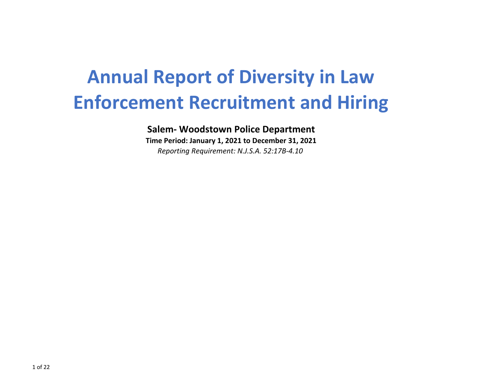# **Annual Report of Diversity in Law Enforcement Recruitment and Hiring**

**Salem- Woodstown Police Department**

**Time Period: January 1, 2021 to December 31, 2021** *Reporting Requirement: N.J.S.A. 52:17B-4.10*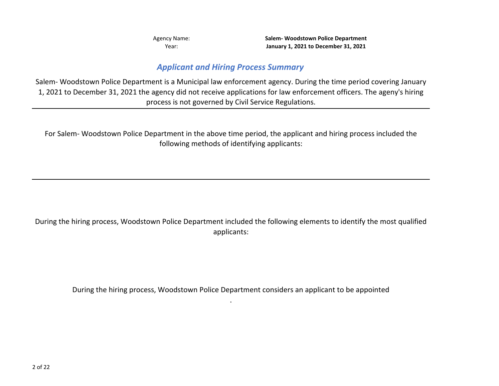Year:

**January 1, 2021 to December 31, 2021** Agency Name: **Salem- Woodstown Police Department**

#### *Applicant and Hiring Process Summary*

Salem- Woodstown Police Department is a Municipal law enforcement agency. During the time period covering January 1, 2021 to December 31, 2021 the agency did not receive applications for law enforcement officers. The ageny's hiring process is not governed by Civil Service Regulations.

For Salem- Woodstown Police Department in the above time period, the applicant and hiring process included the following methods of identifying applicants:

During the hiring process, Woodstown Police Department included the following elements to identify the most qualified applicants:

During the hiring process, Woodstown Police Department considers an applicant to be appointed .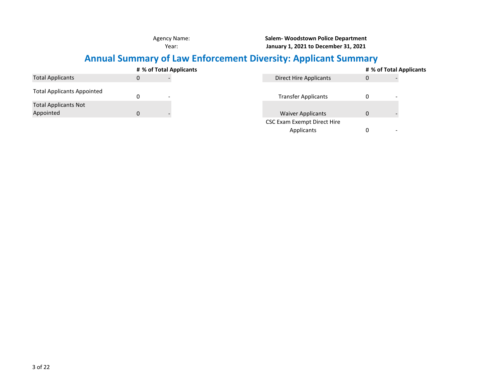**Salem- Woodstown Police Department January 1, 2021 to December 31, 2021**

# **Annual Summary of Law Enforcement Diversity: Applicant Summary**

|                                          |   | # % of Total Applicants |                                    |   | # % of Total Applicants |
|------------------------------------------|---|-------------------------|------------------------------------|---|-------------------------|
| <b>Total Applicants</b>                  | 0 |                         | Direct Hire Applicants             | 0 |                         |
| <b>Total Applicants Appointed</b>        |   |                         | <b>Transfer Applicants</b>         |   |                         |
| <b>Total Applicants Not</b><br>Appointed | 0 |                         | <b>Waiver Applicants</b>           | 0 |                         |
|                                          |   |                         | <b>CSC Exam Exempt Direct Hire</b> |   |                         |
|                                          |   |                         | Applicants                         |   |                         |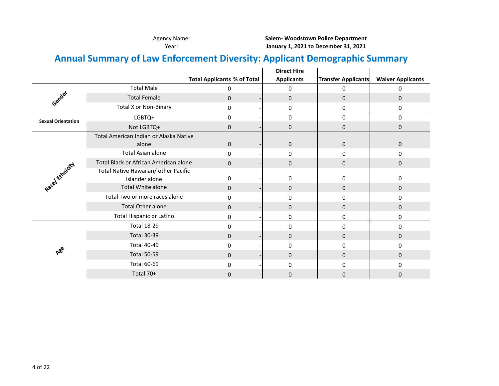# **Annual Summary of Law Enforcement Diversity: Applicant Demographic Summary**

|                           |                                        |                                    | <b>Direct Hire</b> |                            |                          |
|---------------------------|----------------------------------------|------------------------------------|--------------------|----------------------------|--------------------------|
|                           |                                        | <b>Total Applicants % of Total</b> | <b>Applicants</b>  | <b>Transfer Applicants</b> | <b>Waiver Applicants</b> |
|                           | <b>Total Male</b>                      | 0                                  | 0                  | 0                          | 0                        |
| Gender                    | <b>Total Female</b>                    | $\mathbf 0$                        | $\pmb{0}$          | $\pmb{0}$                  | $\mathsf{O}$             |
|                           | <b>Total X or Non-Binary</b>           | 0                                  | 0                  | 0                          | 0                        |
| <b>Sexual Orientation</b> | LGBTQ+                                 | 0                                  | $\pmb{0}$          | 0                          | 0                        |
|                           | Not LGBTQ+                             | 0                                  | $\pmb{0}$          | $\pmb{0}$                  | 0                        |
|                           | Total American Indian or Alaska Native |                                    |                    |                            |                          |
|                           | alone                                  | $\mathbf 0$                        | $\pmb{0}$          | $\pmb{0}$                  | $\mathsf{O}$             |
|                           | Total Asian alone                      | 0                                  | 0                  | 0                          | 0                        |
| Racel Ethnicity           | Total Black or African American alone  | $\Omega$                           | $\mathbf 0$        | $\mathbf 0$                | $\mathbf 0$              |
|                           | Total Native Hawaiian/ other Pacific   |                                    |                    |                            |                          |
|                           | Islander alone                         | 0                                  | 0                  | 0                          | 0                        |
|                           | Total White alone                      | $\mathbf 0$                        | $\pmb{0}$          | $\mathbf 0$                | $\mathbf{0}$             |
|                           | Total Two or more races alone          | 0                                  | 0                  | $\mathbf 0$                | 0                        |
|                           | <b>Total Other alone</b>               | 0                                  | $\mathbf 0$        | $\mathbf 0$                | $\mathbf{0}$             |
|                           | <b>Total Hispanic or Latino</b>        | 0                                  | $\pmb{0}$          | 0                          | 0                        |
|                           | <b>Total 18-29</b>                     | $\Omega$                           | 0                  | $\mathbf 0$                | 0                        |
|                           | <b>Total 30-39</b>                     | $\mathbf 0$                        | $\pmb{0}$          | $\pmb{0}$                  | $\mathsf{O}$             |
|                           | <b>Total 40-49</b>                     | 0                                  | 0                  | 0                          | $\Omega$                 |
| ABE                       | <b>Total 50-59</b>                     | $\Omega$                           | $\mathbf 0$        | $\mathbf 0$                | $\Omega$                 |
|                           | <b>Total 60-69</b>                     | 0                                  | 0                  | 0                          | 0                        |
|                           | Total 70+                              | 0                                  | $\mathbf 0$        | 0                          | $\Omega$                 |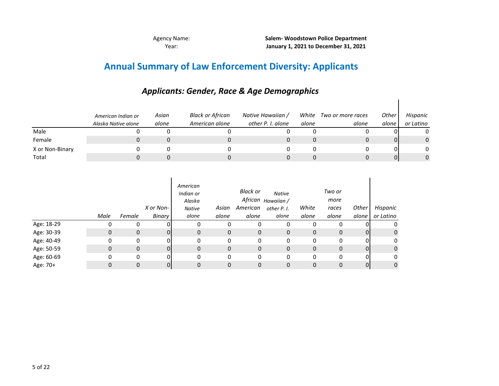# **Annual Summary of Law Enforcement Diversity: Applicants**

|                 | American Indian or<br>Alaska Native alone | Asian<br>alone | <b>Black or African</b><br>American alone | Native Hawaiian /<br>other P. I. alone | White<br>alone | Two or more races<br>alone | <b>Other</b><br>alone | Hispanic<br>or Latino |
|-----------------|-------------------------------------------|----------------|-------------------------------------------|----------------------------------------|----------------|----------------------------|-----------------------|-----------------------|
| Male            |                                           |                |                                           |                                        |                |                            |                       |                       |
| Female          |                                           |                |                                           |                                        |                |                            | 01                    | 0                     |
| X or Non-Binary |                                           |                |                                           |                                        |                |                            | ΩI                    |                       |
| Total           |                                           |                |                                           |                                        |                |                            | 01                    |                       |

## *Applicants: Gender, Race & Age Demographics*

|            | Male | Female       | X or Non-<br>Binary | American<br>Indian or<br>Alaska<br><b>Native</b><br>alone | Asian<br>alone | Black or<br>American<br>alone | Native<br>African <sub>Hawaiian</sub> /<br>other P. I.<br>alone | White<br>alone | Two or<br>more<br>races<br>alone | Other<br>alone | Hispanic<br>or Latino |
|------------|------|--------------|---------------------|-----------------------------------------------------------|----------------|-------------------------------|-----------------------------------------------------------------|----------------|----------------------------------|----------------|-----------------------|
| Age: 18-29 | 0    |              |                     | 0                                                         | 0              | 0                             | 0                                                               | 0              | 0                                | 0              | 0                     |
| Age: 30-39 | 0    | $\mathbf{0}$ | 01                  | 0                                                         | 0              | 0                             | 0                                                               | $\mathbf{0}$   | 0                                | $\overline{0}$ | 0                     |
| Age: 40-49 | 0    | 0            | 01                  | 0                                                         | 0              | 0                             | 0                                                               | 0              | 0                                | 01             | 0                     |
| Age: 50-59 | 0    | $\mathbf 0$  | 0                   | 0                                                         | 0              | 0                             | 0                                                               | $\mathbf{0}$   | 0                                | $\overline{0}$ | 0                     |
| Age: 60-69 | 0    | $\Omega$     | 01                  | 0                                                         | 0              | 0                             | 0                                                               | 0              | 0                                | $\overline{0}$ | 0                     |
| Age: 70+   | 0    | $\Omega$     | 0                   | 0                                                         | 0              | $\mathbf 0$                   | 0                                                               | $\Omega$       | 0                                | $\overline{0}$ | $\mathbf 0$           |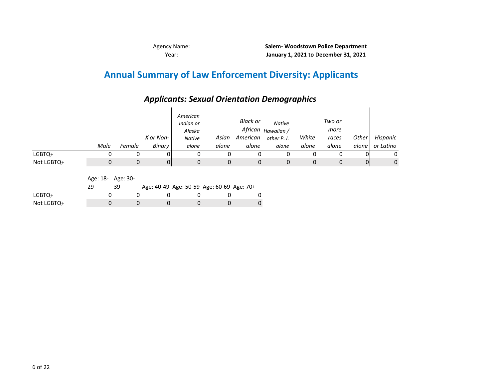## **Annual Summary of Law Enforcement Diversity: Applicants**

|            | Male | Female | X or Non-<br>Binary | American<br>Indian or<br>Alaska<br><b>Native</b><br>alone | Asian<br>alone | Black or<br>African<br>American<br>alone | <b>Native</b><br>Hawaiian /<br>other P. I.<br>alone | White<br>alone | Two or<br>more<br>races<br>alone | Other<br>alone I | Hispanic<br>or Latino |
|------------|------|--------|---------------------|-----------------------------------------------------------|----------------|------------------------------------------|-----------------------------------------------------|----------------|----------------------------------|------------------|-----------------------|
| LGBTQ+     |      |        | 01                  | 0                                                         |                |                                          |                                                     |                |                                  |                  |                       |
| Not LGBTQ+ |      |        | 0                   | 0                                                         | 0              |                                          | 0                                                   | $\Omega$       |                                  | 0                | 0                     |

## *Applicants: Sexual Orientation Demographics*

Age: 18- Age: 30-

|            |  | Age: 40-49 Age: 50-59 Age: 60-69 Age: 70+ |  |  |
|------------|--|-------------------------------------------|--|--|
| LGBTQ+     |  |                                           |  |  |
| Not LGBTQ+ |  |                                           |  |  |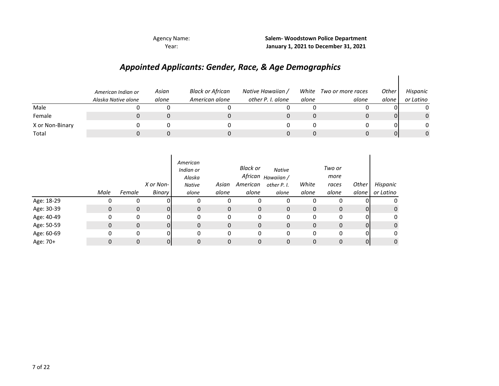Year:

**January 1, 2021 to December 31, 2021** Agency Name: **Salem- Woodstown Police Department**

## *Appointed Applicants: Gender, Race, & Age Demographics*

|                 | American Indian or<br>Alaska Native alone | Asian<br>alone | <b>Black or African</b><br>American alone | Native Hawaiian /<br>other P. I. alone | White<br>alone | Two or more races<br>alone | Other<br>alone | Hispanic<br>or Latino |
|-----------------|-------------------------------------------|----------------|-------------------------------------------|----------------------------------------|----------------|----------------------------|----------------|-----------------------|
| Male            |                                           |                |                                           |                                        |                |                            |                | 0                     |
| Female          |                                           |                |                                           |                                        |                |                            |                | $\mathbf{0}$          |
| X or Non-Binary |                                           |                |                                           |                                        |                |                            |                | 0                     |
| Total           |                                           |                |                                           |                                        |                |                            |                | 0                     |

|            | Male | Female       | X or Non-<br><b>Binary</b> | American<br>Indian or<br>Alaska<br>Native<br>alone | Asian<br>alone | Black or<br>American<br>alone | Native<br>African <sub>Hawaiian</sub> /<br>other P. I.<br>alone | White<br>alone | Two or<br>more<br>races<br>alone | Other<br>alone | Hispanic<br>or Latino |
|------------|------|--------------|----------------------------|----------------------------------------------------|----------------|-------------------------------|-----------------------------------------------------------------|----------------|----------------------------------|----------------|-----------------------|
| Age: 18-29 |      |              |                            |                                                    | 0              |                               | 0                                                               |                |                                  |                | 0                     |
| Age: 30-39 | 0    | $\mathbf{0}$ | ΩI                         | 0                                                  | 0              | $\mathbf 0$                   | 0                                                               | $\mathbf 0$    | $\mathbf{0}$                     | 01             | 0                     |
| Age: 40-49 | 0    | 0            | nı                         | 0                                                  | 0              | 0                             | 0                                                               | 0              | 0                                | 0              | 0                     |
| Age: 50-59 | 0    | $\mathbf{0}$ | ΩI                         | $\mathbf{0}$                                       | 0              | $\mathbf 0$                   | 0                                                               | $\mathbf 0$    | $\mathbf 0$                      | 01             | 0                     |
| Age: 60-69 | 0    | 0            | ΩI                         | 0                                                  | 0              | $\mathbf 0$                   | 0                                                               | 0              | 0                                | 0              | 0                     |
| Age: 70+   |      | $\Omega$     |                            | 0                                                  | 0              | 0                             | 0                                                               | 0              | $\Omega$                         | 0              | $\mathbf{0}$          |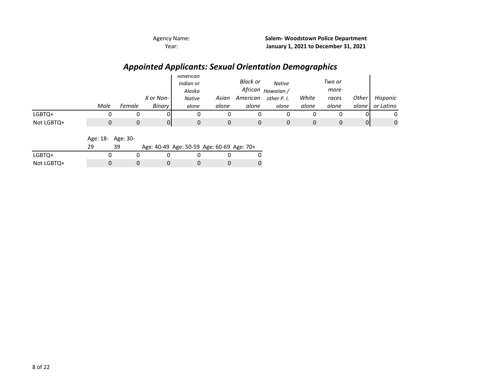## *Appointed Applicants: Sexual Orientation Demographics*

|            |      |        |           | American<br>Indian or<br>Alaska |       | Black or<br>African | <b>Native</b><br>Hawaiian / |       | Two or<br>more |         |           |
|------------|------|--------|-----------|---------------------------------|-------|---------------------|-----------------------------|-------|----------------|---------|-----------|
|            |      |        | X or Non- | <b>Native</b>                   | Asian | American            | other P. I.                 | White | races          | Other   | Hispanic  |
|            | Male | Female | Binary    | alone                           | alone | alone               | alone                       | alone | alone          | alone I | or Latino |
| LGBTQ+     |      |        |           |                                 | 0     |                     |                             |       |                | 01      | 0         |
| Not LGBTQ+ |      |        | Ûl        |                                 | 0     |                     |                             |       |                | Οl      | 0         |

Age: 18- Age: 30-

|            | 39 | Age: 40-49 Age: 50-59 Age: 60-69 Age: 70+ |  |  |
|------------|----|-------------------------------------------|--|--|
| LGBTQ+     |    |                                           |  |  |
| Not LGBTQ+ |    |                                           |  |  |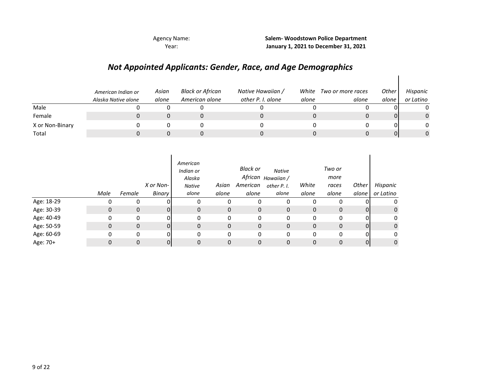**Salem- Woodstown Police Department January 1, 2021 to December 31, 2021**

## *Not Appointed Applicants: Gender, Race, and Age Demographics*

|                 | American Indian or<br>Alaska Native alone | Asian<br>alone | <b>Black or African</b><br>American alone | Native Hawaiian /<br>other P. I. alone | White<br>alone | Two or more races<br>alone | Other<br>alone | Hispanic<br>or Latino |
|-----------------|-------------------------------------------|----------------|-------------------------------------------|----------------------------------------|----------------|----------------------------|----------------|-----------------------|
| Male            |                                           |                |                                           |                                        |                |                            |                |                       |
| Female          |                                           |                |                                           |                                        |                |                            |                |                       |
| X or Non-Binary |                                           |                |                                           |                                        |                |                            |                |                       |
| Total           |                                           |                |                                           |                                        |                |                            | Û              |                       |

|            | Male | Female       | X or Non-<br>Binary | American<br>Indian or<br>Alaska<br><b>Native</b><br>alone | Asian<br>alone | Black or<br>American<br>alone | Native<br>African <sub>Hawaiian</sub> /<br>other P. I.<br>alone | White<br>alone | Two or<br>more<br>races<br>alone | Other<br>alone | Hispanic<br>or Latino |
|------------|------|--------------|---------------------|-----------------------------------------------------------|----------------|-------------------------------|-----------------------------------------------------------------|----------------|----------------------------------|----------------|-----------------------|
| Age: 18-29 |      | 0            |                     |                                                           | 0              | 0                             | 0                                                               | 0              |                                  |                | 0                     |
| Age: 30-39 | 0    | $\mathbf{0}$ | ΩI                  | 0                                                         | 0              | $\mathbf{0}$                  | 0                                                               | $\mathbf 0$    | $\mathbf{0}$                     | 01             | 0                     |
| Age: 40-49 | 0    | 0            | 01                  | $\Omega$                                                  | 0              | 0                             | 0                                                               | 0              | 0                                | 01             | 0                     |
| Age: 50-59 | 0    | $\mathbf{0}$ | ΩI                  | $\mathbf{0}$                                              | 0              | 0                             | 0                                                               | $\mathbf 0$    | $\mathbf{0}$                     | $\overline{0}$ | $\mathbf 0$           |
| Age: 60-69 | 0    | 0            | ΩI                  | $\mathbf{0}$                                              | 0              | 0                             | 0                                                               | 0              | 0                                | 0              | 0                     |
| Age: 70+   |      | 0            |                     | 0                                                         | 0              | 0                             | 0                                                               | 0              | 0                                | 01             | 0                     |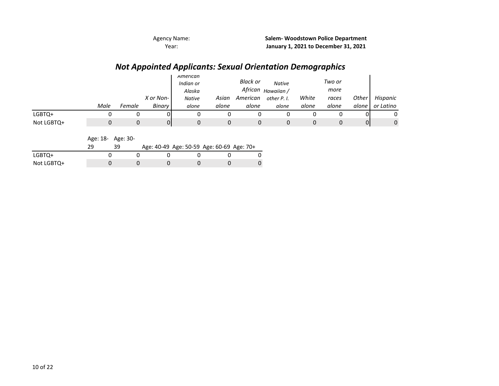## *Not Appointed Applicants: Sexual Orientation Demographics*

|            |      |        |           | American<br>Indian or<br>Alaska |       | <b>Black or</b> | <b>Native</b><br>African <sub>Hawaiian</sub> / |       | Two or<br>more |       |           |
|------------|------|--------|-----------|---------------------------------|-------|-----------------|------------------------------------------------|-------|----------------|-------|-----------|
|            |      |        | X or Non- | <b>Native</b>                   | Asian | American        | other P. I.                                    | White | races          | Other | Hispanic  |
|            | Male | Female | Binary    | alone                           | alone | alone           | alone                                          | alone | alone          | alone | or Latino |
| LGBTQ+     |      |        |           |                                 |       |                 |                                                |       |                |       |           |
| Not LGBTQ+ |      |        | ΟI        |                                 |       | U               |                                                |       |                | 01    | 0         |

Age: 18- Age: 30-

|            |  |  | Age: 40-49 Age: 50-59 Age: 60-69 Age: 70+ |  |
|------------|--|--|-------------------------------------------|--|
| LGBTQ+     |  |  |                                           |  |
| Not LGBTQ+ |  |  |                                           |  |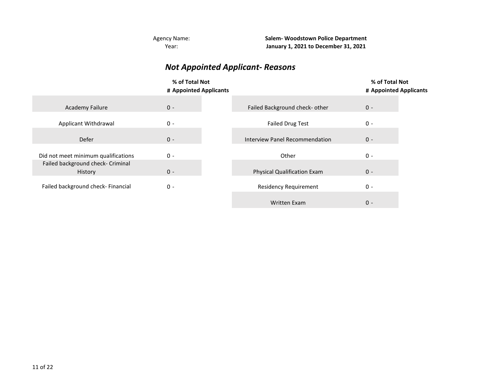**Salem- Woodstown Police Department January 1, 2021 to December 31, 2021**

## *Not Appointed Applicant- Reasons*

|                                                                          | % of Total Not<br># Appointed Applicants |                                       | % of Total Not<br># Appointed Applicants |
|--------------------------------------------------------------------------|------------------------------------------|---------------------------------------|------------------------------------------|
| <b>Academy Failure</b>                                                   | $0 -$                                    | Failed Background check- other        | $0 -$                                    |
| Applicant Withdrawal                                                     | $0 -$                                    | <b>Failed Drug Test</b>               | $0 -$                                    |
| Defer                                                                    | $0 -$                                    | <b>Interview Panel Recommendation</b> | $0 -$                                    |
| Did not meet minimum qualifications<br>Failed background check- Criminal | $0 -$                                    | Other                                 | $0 -$                                    |
| History                                                                  | $0 -$                                    | <b>Physical Qualification Exam</b>    | $0 -$                                    |
| Failed background check- Financial                                       | $0 -$                                    | <b>Residency Requirement</b>          | $0 -$                                    |
|                                                                          |                                          | Written Exam                          | $0 -$                                    |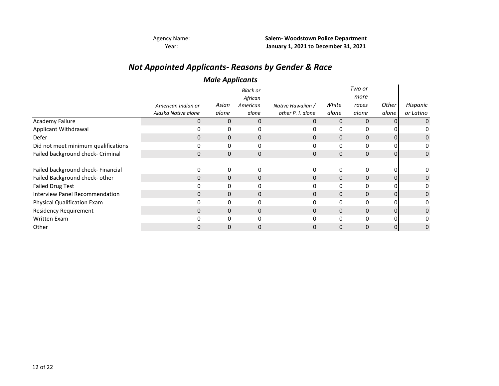## *Not Appointed Applicants- Reasons by Gender & Race*

#### *Male Applicants*

|                                       |                     |       | <b>Black or</b><br>African |                   |              | Two or<br>more |       |           |
|---------------------------------------|---------------------|-------|----------------------------|-------------------|--------------|----------------|-------|-----------|
|                                       | American Indian or  | Asian | American                   | Native Hawaiian / | White        | races          | Other | Hispanic  |
|                                       | Alaska Native alone | alone | alone                      | other P. I. alone | alone        | alone          | alone | or Latino |
| <b>Academy Failure</b>                | 0                   | 0     | 0                          | 0                 | $\mathbf 0$  | $\mathbf 0$    | 01    |           |
| Applicant Withdrawal                  |                     | 0     | 0                          |                   | 0            | 0              |       |           |
| Defer                                 | 0                   | 0     | $\mathbf 0$                | 0                 | 0            | 0              | 01    |           |
| Did not meet minimum qualifications   | 0                   | 0     | 0                          | 0                 | 0            | 0              | 0     |           |
| Failed background check- Criminal     | $\mathbf{0}$        | 0     | $\mathbf 0$                | $\mathbf{0}$      | $\mathbf 0$  | $\mathbf 0$    | 01    | 0         |
|                                       |                     |       |                            |                   |              |                |       |           |
| Failed background check- Financial    | 0                   | 0     | 0                          |                   | 0            | 0              | 0     |           |
| Failed Background check- other        | $\Omega$            | 0     | $\mathbf 0$                | $\Omega$          | $\mathbf{0}$ | 0              | 01    |           |
| <b>Failed Drug Test</b>               |                     | 0     | 0                          |                   | 0            | 0              |       |           |
| <b>Interview Panel Recommendation</b> | 0                   | 0     | 0                          | $\Omega$          | $\mathbf{0}$ | $\mathbf{0}$   | 01    |           |
| Physical Qualification Exam           |                     | 0     | 0                          |                   | $\mathbf{0}$ | 0              | 0     |           |
| <b>Residency Requirement</b>          | 0                   | 0     | $\mathbf 0$                | 0                 | $\Omega$     | $\mathbf 0$    | 01    |           |
| Written Exam                          |                     | 0     | $\Omega$                   |                   | 0            | $\Omega$       |       |           |
| Other                                 |                     | 0     | 0                          |                   | 0            | 0              | 01    |           |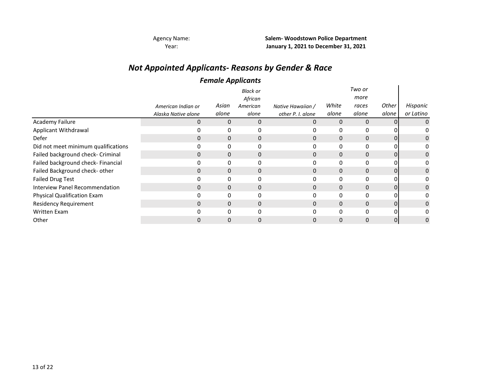Year:

Agency Name: **Salem- Woodstown Police Department January 1, 2021 to December 31, 2021**

## *Not Appointed Applicants- Reasons by Gender & Race*

#### *Female Applicants*

|                                     |                     | . .   |                 |                   |          |              |          |           |
|-------------------------------------|---------------------|-------|-----------------|-------------------|----------|--------------|----------|-----------|
|                                     |                     |       | <b>Black or</b> |                   |          | Two or       |          |           |
|                                     |                     |       | African         |                   |          | more         |          |           |
|                                     | American Indian or  | Asian | American        | Native Hawaiian / | White    | races        | Other    | Hispanic  |
|                                     | Alaska Native alone | alone | alone           | other P. I. alone | alone    | alone        | alone    | or Latino |
| Academy Failure                     | $\Omega$            | 0     | 0               | 0                 | $\Omega$ | $\Omega$     | $\Omega$ |           |
| Applicant Withdrawal                |                     |       | 0               |                   | 0        | $\mathbf{0}$ |          |           |
| Defer                               | 0                   | 0     | 0               | 0                 | $\Omega$ | $\Omega$     |          | 0         |
| Did not meet minimum qualifications |                     | 0     | 0               |                   |          | 0            |          |           |
| Failed background check- Criminal   | 0                   | 0     | 0               | 0                 | 0        | $\mathbf{0}$ | 01       | 0         |
| Failed background check- Financial  |                     | 0     | 0               |                   | $\Omega$ | $\mathbf{0}$ |          |           |
| Failed Background check- other      | 0                   | 0     | $\mathbf 0$     | 0                 | $\Omega$ | $\mathbf{0}$ | 01       | 0         |
| <b>Failed Drug Test</b>             |                     | 0     | 0               |                   | 0        | 0            |          |           |
| Interview Panel Recommendation      | 0                   | 0     | 0               | 0                 | 0        | $\mathbf{0}$ |          | 0         |
| <b>Physical Qualification Exam</b>  |                     | 0     | 0               |                   | 0        | 0            |          |           |
| <b>Residency Requirement</b>        | $\Omega$            | 0     | $\mathbf 0$     | 0                 | $\Omega$ | $\mathbf 0$  | 01       | 0         |
| Written Exam                        |                     |       | O               |                   | O        | 0            |          |           |
| Other                               |                     |       | 0               |                   |          | $\Omega$     | ΩI       | 0         |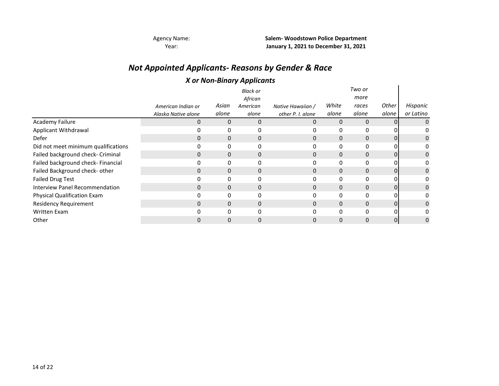# *Not Appointed Applicants- Reasons by Gender & Race*

#### *X or Non-Binary Applicants*

|                                       |                     |       | $\epsilon$<br>. . |                   |             |              |       |           |
|---------------------------------------|---------------------|-------|-------------------|-------------------|-------------|--------------|-------|-----------|
|                                       |                     |       | <b>Black or</b>   |                   |             | Two or       |       |           |
|                                       |                     |       | African           |                   |             | more         |       |           |
|                                       | American Indian or  | Asian | American          | Native Hawaiian / | White       | races        | Other | Hispanic  |
|                                       | Alaska Native alone | alone | alone             | other P. I. alone | alone       | alone        | alone | or Latino |
| Academy Failure                       | 0                   | 0     | 0                 | 0                 | $\Omega$    | 0            | 01    |           |
| Applicant Withdrawal                  |                     | 0     | 0                 |                   | $\mathbf 0$ | 0            |       |           |
| Defer                                 | $\Omega$            | 0     | 0                 |                   | $\Omega$    | $\Omega$     | 01    |           |
| Did not meet minimum qualifications   |                     | 0     | 0                 |                   |             | 0            |       |           |
| Failed background check- Criminal     | 0                   | 0     | 0                 | $\Omega$          | 0           | $\mathbf{0}$ | 01    |           |
| Failed background check- Financial    | 0                   | 0     | $\mathbf{0}$      |                   | $\Omega$    | 0            |       |           |
| Failed Background check- other        | $\Omega$            | 0     | $\mathbf 0$       | 0                 | $\Omega$    | 0            | 0     |           |
| <b>Failed Drug Test</b>               |                     | 0     | 0                 |                   | 0           | 0            |       |           |
| <b>Interview Panel Recommendation</b> | 0                   | 0     | 0                 |                   | $\Omega$    | 0            | 0     |           |
| <b>Physical Qualification Exam</b>    | 0                   | 0     | 0                 |                   | 0           | 0            |       |           |
| <b>Residency Requirement</b>          | $\Omega$            | 0     | 0                 | $\Omega$          | $\Omega$    | $\mathbf{0}$ | 01    |           |
| Written Exam                          |                     |       | $\Omega$          |                   | $\Omega$    | 0            |       |           |
| Other                                 |                     |       | $\Omega$          |                   |             | 0            | 0     |           |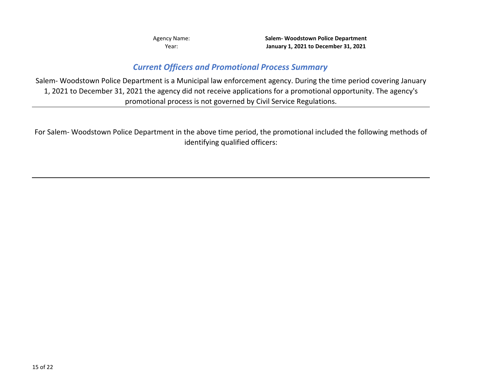#### *Current Officers and Promotional Process Summary*

Salem- Woodstown Police Department is a Municipal law enforcement agency. During the time period covering January 1, 2021 to December 31, 2021 the agency did not receive applications for a promotional opportunity. The agency's promotional process is not governed by Civil Service Regulations.

For Salem- Woodstown Police Department in the above time period, the promotional included the following methods of identifying qualified officers: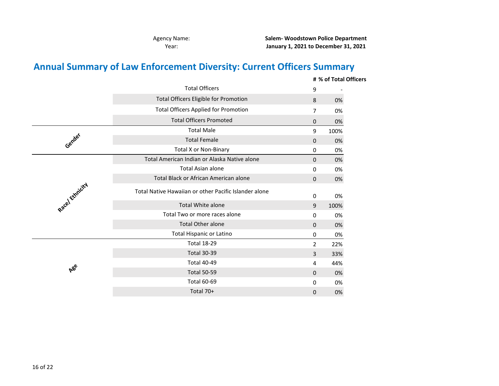**Salem- Woodstown Police Department January 1, 2021 to December 31, 2021**

# **Annual Summary of Law Enforcement Diversity: Current Officers Summary**

|                 |                                                       |                | # % of Total Officers |
|-----------------|-------------------------------------------------------|----------------|-----------------------|
|                 | <b>Total Officers</b>                                 | 9              |                       |
|                 | <b>Total Officers Eligible for Promotion</b>          | 8              | 0%                    |
|                 | <b>Total Officers Applied for Promotion</b>           | 7              | 0%                    |
|                 | <b>Total Officers Promoted</b>                        | 0              | 0%                    |
|                 | <b>Total Male</b>                                     | 9              | 100%                  |
| Gender          | <b>Total Female</b>                                   | 0              | 0%                    |
|                 | <b>Total X or Non-Binary</b>                          | 0              | 0%                    |
|                 | Total American Indian or Alaska Native alone          | 0              | 0%                    |
|                 | <b>Total Asian alone</b>                              | 0              | 0%                    |
|                 | Total Black or African American alone                 | 0              | 0%                    |
| Racel Ethnicity | Total Native Hawaiian or other Pacific Islander alone | 0              | 0%                    |
|                 | <b>Total White alone</b>                              | 9              | 100%                  |
|                 | Total Two or more races alone                         | $\mathbf{0}$   | 0%                    |
|                 | <b>Total Other alone</b>                              | 0              | 0%                    |
|                 | <b>Total Hispanic or Latino</b>                       | 0              | 0%                    |
|                 | <b>Total 18-29</b>                                    | $\overline{2}$ | 22%                   |
|                 | <b>Total 30-39</b>                                    | 3              | 33%                   |
|                 | <b>Total 40-49</b>                                    | 4              | 44%                   |
| ABe             | <b>Total 50-59</b>                                    | 0              | 0%                    |
|                 | <b>Total 60-69</b>                                    | $\mathbf{0}$   | 0%                    |
|                 | Total 70+                                             | 0              | 0%                    |
|                 |                                                       |                |                       |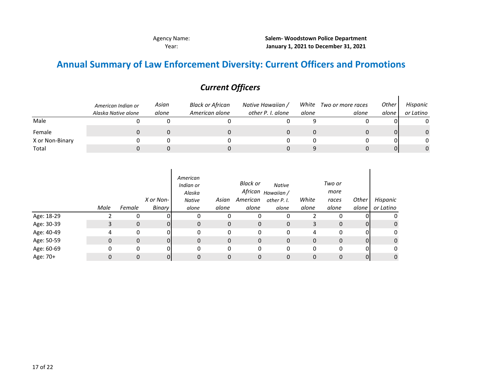$\mathbf{I}$ 

## **Annual Summary of Law Enforcement Diversity: Current Officers and Promotions**

|                 | American Indian or  | Asian | <b>Black or African</b> | Native Hawaiian / | White | Two or more races | <b>Other</b> | Hispanic  |
|-----------------|---------------------|-------|-------------------------|-------------------|-------|-------------------|--------------|-----------|
|                 | Alaska Native alone | alone | American alone          | other P. I. alone | alone | alone             | alone        | or Latino |
| Male            |                     |       |                         |                   |       |                   | 01           |           |
| Female          |                     |       |                         |                   |       |                   | 01           | 0         |
| X or Non-Binary |                     |       |                         |                   |       |                   | 01           |           |
| Total           |                     |       |                         |                   |       |                   | 0            | $\Omega$  |

## *Current Officers*

|            | Male | Female       | X or Non-<br>Binary | American<br>Indian or<br>Alaska<br>Native<br>alone | Asian<br>alone | Black or<br>American<br>alone | <b>Native</b><br>African <sub>Hawaiian</sub> /<br>other P. I.<br>alone | White<br>alone | Two or<br>more<br>races<br>alone | Other<br>alone | Hispanic<br>or Latino |
|------------|------|--------------|---------------------|----------------------------------------------------|----------------|-------------------------------|------------------------------------------------------------------------|----------------|----------------------------------|----------------|-----------------------|
| Age: 18-29 |      |              |                     |                                                    | 0              |                               | 0                                                                      |                |                                  |                | 0                     |
| Age: 30-39 | 3    | $\mathbf 0$  | 0                   | 0                                                  | $\mathbf 0$    | 0                             | 0                                                                      | 3              | 0                                | $\overline{0}$ | $\mathbf 0$           |
| Age: 40-49 | 4    | $\mathbf{0}$ | nı                  | 0                                                  | 0              | 0                             | 0                                                                      | 4              | 0                                | 0l             | 0                     |
| Age: 50-59 | 0    | $\mathbf 0$  | n.                  | 0                                                  | $\mathbf{0}$   | 0                             | 0                                                                      | 0              | 0                                | $\overline{O}$ | $\mathbf 0$           |
| Age: 60-69 | 0    | 0            | nı                  | 0                                                  | $\Omega$       | 0                             | 0                                                                      | $\Omega$       | 0                                | $\overline{0}$ | 0                     |
| Age: 70+   |      | $\mathbf{0}$ | 0                   | 0                                                  | 0              | 0                             | 0                                                                      | 0              | 0                                | $\overline{O}$ | 0                     |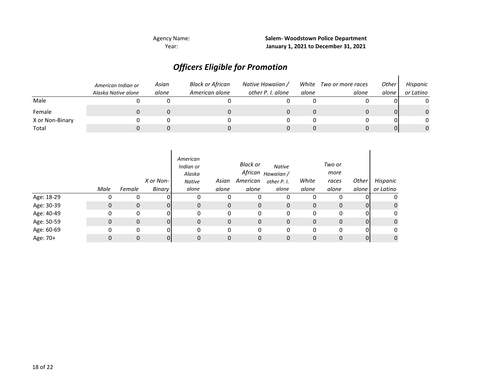## *Officers Eligible for Promotion*

|                 | American Indian or<br>Alaska Native alone | Asian<br>alone | <b>Black or African</b><br>American alone | Native Hawaiian /<br>other P. I. alone | White<br>alone | Two or more races<br>alone | Other<br>alone | Hispanic<br>or Latino |
|-----------------|-------------------------------------------|----------------|-------------------------------------------|----------------------------------------|----------------|----------------------------|----------------|-----------------------|
| Male            |                                           |                |                                           |                                        |                |                            |                |                       |
| Female          |                                           |                |                                           |                                        |                |                            |                | $\Omega$              |
| X or Non-Binary |                                           |                |                                           |                                        |                |                            |                | $\Omega$              |
| Total           |                                           |                |                                           |                                        |                |                            |                | 0                     |

|            | Male | Female | X or Non-<br>Binary | American<br>Indian or<br>Alaska<br><b>Native</b><br>alone | Asian<br>alone | Black or<br>American<br>alone | Native<br>African <sub>Hawaiian</sub> /<br>other P. I.<br>alone | White<br>alone | Two or<br>more<br>races<br>alone | Other<br>alone | Hispanic<br>or Latino |
|------------|------|--------|---------------------|-----------------------------------------------------------|----------------|-------------------------------|-----------------------------------------------------------------|----------------|----------------------------------|----------------|-----------------------|
| Age: 18-29 |      | 0      | ΩI                  |                                                           | 0              | 0                             | 0                                                               |                | 0                                | 01             |                       |
| Age: 30-39 | 0    | 0      | 0l                  | 0                                                         | 0              | $\mathbf 0$                   | 0                                                               | 0              | $\mathbf{0}$                     | 0              | $\mathbf{0}$          |
| Age: 40-49 | 0    | 0      | 01                  | 0                                                         | 0              | 0                             | 0                                                               | 0              | 0                                | 0l             | 0                     |
| Age: 50-59 | 0    | 0      | <sup>0</sup>        | 0                                                         | 0              | $\mathbf 0$                   | 0                                                               | 0              | 0                                | $\overline{O}$ | $\mathbf{0}$          |
| Age: 60-69 | 0    | 0      | 01                  | 0                                                         | 0              | 0                             | 0                                                               | 0              | 0                                | 01             | 0                     |
| Age: 70+   |      | 0      | 01                  | 0                                                         | 0              | 0                             | 0                                                               | 0              | 0                                | 0              | $\mathbf 0$           |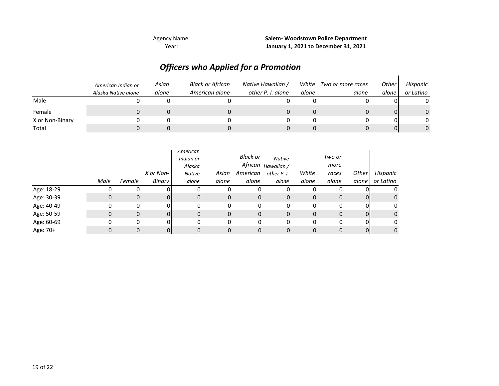## *Officers who Applied for a Promotion*

|                 | American Indian or<br>Alaska Native alone | Asian<br>alone | <b>Black or African</b><br>American alone | Native Hawaiian /<br>other P. I. alone | alone | White Two or more races<br>alone | Other<br>alone | Hispanic<br>or Latino |
|-----------------|-------------------------------------------|----------------|-------------------------------------------|----------------------------------------|-------|----------------------------------|----------------|-----------------------|
| Male            |                                           |                |                                           |                                        |       |                                  |                |                       |
| Female          |                                           |                |                                           |                                        |       |                                  |                | $\Omega$              |
| X or Non-Binary |                                           |                |                                           |                                        |       |                                  |                | $\Omega$              |
| Total           |                                           |                |                                           |                                        |       |                                  |                | 0                     |

|            |      |             | X or Non- | American<br>Indian or<br>Alaska<br>Native | Asian | <b>Black or</b><br>African<br>American | <b>Native</b><br>Hawaiian /<br>other P. I. | White | Two or<br>more<br>races | Other | Hispanic  |
|------------|------|-------------|-----------|-------------------------------------------|-------|----------------------------------------|--------------------------------------------|-------|-------------------------|-------|-----------|
|            | Male | Female      | Binary    | alone                                     | alone | alone                                  | alone                                      | alone | alone                   | alone | or Latino |
| Age: 18-29 |      | 0           |           |                                           | 0     | 0                                      | 0                                          | 0     | 0                       |       |           |
| Age: 30-39 |      | $\mathbf 0$ |           | $\mathbf{0}$                              | 0     | 0                                      | 0                                          | 0     | $\mathbf 0$             | ΩI    | 0         |
| Age: 40-49 |      | 0           | ΩI        | $\Omega$                                  | 0     | 0                                      | 0                                          | 0     | 0                       | ΩI    | 0         |
| Age: 50-59 | 0    | $\mathbf 0$ | 01        | $\Omega$                                  | 0     | 0                                      | $\mathbf{0}$                               | 0     | $\mathbf 0$             | ΟI    | 0         |
| Age: 60-69 |      | 0           | ΩI        | $\Omega$                                  | 0     | 0                                      | 0                                          | 0     | 0                       | ΩI    |           |
| Age: 70+   |      | $\Omega$    | 01        |                                           | 0     | 0                                      |                                            | 0     | 0                       | 01    | 0         |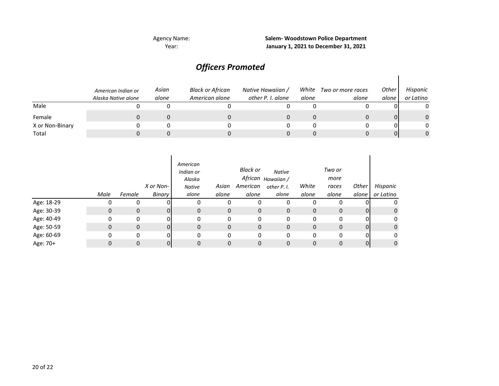Agency Name:

Year: **January 1, 2021 to December 31, 2021 Salem- Woodstown Police Department**

## *Officers Promoted*

|                 | American Indian or<br>Alaska Native alone | Asian<br>alone | <b>Black or African</b><br>American alone | Native Hawaiian /<br>other P. I. alone | White<br>alone | Two or more races<br>alone | Other<br>alone | Hispanic<br>or Latino |
|-----------------|-------------------------------------------|----------------|-------------------------------------------|----------------------------------------|----------------|----------------------------|----------------|-----------------------|
| Male            |                                           |                |                                           |                                        |                |                            |                |                       |
| Female          |                                           |                |                                           |                                        |                |                            |                |                       |
| X or Non-Binary |                                           |                |                                           |                                        |                |                            |                |                       |
| Total           |                                           |                |                                           |                                        |                |                            |                |                       |

|            | Male | Female | X or Non-<br><b>Binary</b> | American<br>Indian or<br>Alaska<br><b>Native</b><br>alone | Asian<br>alone | Black or<br>American<br>alone | Native<br>African <sub>Hawaiian</sub> /<br>other P. I.<br>alone | White<br>alone | Two or<br>more<br>races<br>alone | Other<br>alone | Hispanic<br>or Latino |
|------------|------|--------|----------------------------|-----------------------------------------------------------|----------------|-------------------------------|-----------------------------------------------------------------|----------------|----------------------------------|----------------|-----------------------|
| Age: 18-29 |      | 0      | ΩI                         | 0                                                         | 0              | 0                             | 0                                                               | 0              | 0                                |                | 0                     |
| Age: 30-39 | 0    | 0      | 0                          | 0                                                         | 0              | $\mathbf{0}$                  | 0                                                               | 0              | $\mathbf 0$                      | 0              | 0                     |
| Age: 40-49 | 0    | 0      | 01                         | 0                                                         | 0              | $\mathbf 0$                   | 0                                                               | 0              | 0                                | 0              | 0                     |
| Age: 50-59 | 0    | 0      | $\Omega$                   | $\mathbf{0}$                                              | 0              | 0                             | 0                                                               | 0              | $\mathbf 0$                      | $\overline{0}$ | $\mathbf 0$           |
| Age: 60-69 | 0    | 0      | $\Omega$                   | 0                                                         | 0              | 0                             | 0                                                               | 0              | 0                                | 0              | 0                     |
| Age: 70+   | 0    | 0      | 0                          | 0                                                         | 0              | 0                             | 0                                                               | 0              | $\mathbf 0$                      | 0              | $\mathbf 0$           |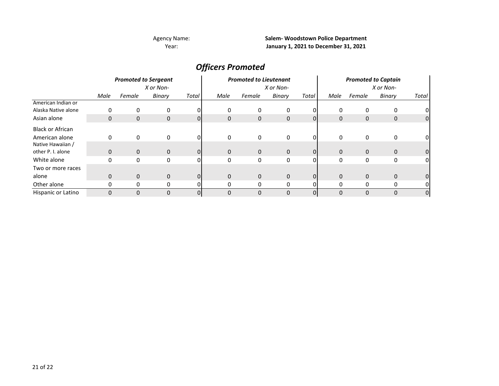#### Agency Name:

Year:

**Salem- Woodstown Police Department January 1, 2021 to December 31, 2021**

## *Officers Promoted*

|                         | <b>Promoted to Sergeant</b><br>X or Non- |          |             |                |              | <b>Promoted to Lieutenant</b> |              |          | <b>Promoted to Captain</b> |              |             |                |
|-------------------------|------------------------------------------|----------|-------------|----------------|--------------|-------------------------------|--------------|----------|----------------------------|--------------|-------------|----------------|
|                         |                                          |          |             |                |              | X or Non-                     |              |          |                            |              |             |                |
|                         | Male                                     | Female   | Binary      | Total          | Male         | Female                        | Binary       | Total    | Male                       | Female       | Binary      | Total          |
| American Indian or      |                                          |          |             |                |              |                               |              |          |                            |              |             |                |
| Alaska Native alone     | 0                                        | 0        | 0           |                | 0            | 0                             | 0            |          | 0                          | 0            | 0           | 01             |
| Asian alone             | 0                                        | 0        | 0           | 0              | $\mathbf 0$  | $\mathbf 0$                   | 0            | $\Omega$ | 0                          | $\mathbf{0}$ | 0           | 0              |
| <b>Black or African</b> |                                          |          |             |                |              |                               |              |          |                            |              |             |                |
| American alone          | 0                                        | 0        | 0           | ΩI             | $\mathbf{0}$ | 0                             | 0            |          | 0                          | $\Omega$     | 0           | 01             |
| Native Hawaiian /       |                                          |          |             |                |              |                               |              |          |                            |              |             |                |
| other P. I. alone       | $\mathbf{0}$                             | $\Omega$ | $\mathbf 0$ | $\Omega$       | $\mathbf 0$  | $\mathbf 0$                   | $\mathbf{0}$ | 0        | $\Omega$                   | $\mathbf{0}$ | $\mathbf 0$ | 0              |
| White alone             | 0                                        | 0        | 0           |                | 0            | 0                             | 0            | 0        | 0                          | $\mathbf{0}$ | 0           | 0              |
| Two or more races       |                                          |          |             |                |              |                               |              |          |                            |              |             |                |
| alone                   | $\mathbf 0$                              | $\Omega$ | $\Omega$    | 0              | $\Omega$     | $\mathbf 0$                   | $\mathbf{0}$ | $\Omega$ | $\Omega$                   | $\Omega$     | $\mathbf 0$ | 0              |
| Other alone             | 0                                        | 0        | 0           |                | 0            | 0                             | 0            | ŋ        | 0                          | $\Omega$     | 0           | 0              |
| Hispanic or Latino      | $\Omega$                                 | 0        | $\Omega$    | $\overline{0}$ | $\Omega$     | $\Omega$                      | 0            | 0        | $\Omega$                   | $\Omega$     | 0           | $\overline{0}$ |